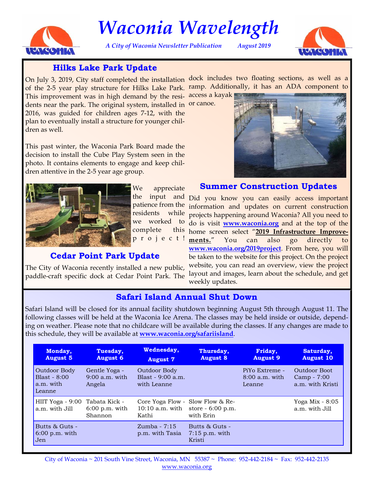

# *Waconia Wavelength*

*A City of Waconia Newsletter Publication August 2019* 



# **Hilks Lake Park Update**

On July 3, 2019, City staff completed the installation dock includes two floating sections, as well as a of the 2-5 year play structure for Hilks Lake Park. ramp. Additionally, it has an ADA component to

This improvement was in high demand by the resi- access a kayak dents near the park. The original system, installed in or canoe. 2016, was guided for children ages 7-12, with the plan to eventually install a structure for younger children as well.

This past winter, the Waconia Park Board made the decision to install the Cube Play System seen in the photo. It contains elements to engage and keep children attentive in the 2-5 year age group.



We appreciate the input and residents complete p r o j e c t !

## **Cedar Point Park Update**

The City of Waconia recently installed a new public, paddle-craft specific dock at Cedar Point Park. The



# **Summer Construction Updates**

patience from the information and updates on current construction we worked to do is visit **<www.waconia.org>** and at the top of the Did you know you can easily access important while projects happening around Waconia? All you need to home screen select "**2019 Infrastructure Improvements.**" You can also go directly to **<www.waconia.org/2019project>**. From here, you will be taken to the website for this project. On the project website, you can read an overview, view the project layout and images, learn about the schedule, and get weekly updates.

# **Safari Island Annual Shut Down**

Safari Island will be closed for its annual facility shutdown beginning August 5th through August 11. The following classes will be held at the Waconia Ice Arena. The classes may be held inside or outside, depending on weather. Please note that no childcare will be available during the classes. If any changes are made to this schedule, they will be available at **<www.waconia.org/safariisland>**.

| Monday,                                               | Tuesday,                                    | Wednesday,                                         | Thursday,                                    | Friday,                                      | Saturday,                                       |
|-------------------------------------------------------|---------------------------------------------|----------------------------------------------------|----------------------------------------------|----------------------------------------------|-------------------------------------------------|
| <b>August 5</b>                                       | <b>August 6</b>                             | <b>August 7</b>                                    | <b>August 8</b>                              | <b>August 9</b>                              | <b>August 10</b>                                |
| Outdoor Body<br>Blast - $8:00$<br>a.m. with<br>Leanne | Gentle Yoga -<br>$9:00$ a.m. with<br>Angela | Outdoor Body<br>Blast - $9:00$ a.m.<br>with Leanne |                                              | PiYo Extreme -<br>$8:00$ a.m. with<br>Leanne | Outdoor Boot<br>Camp - 7:00<br>a.m. with Kristi |
| HIIT Yoga - 9:00 Tabata Kick -                        | $6:00$ p.m. with                            | Core Yoga Flow - Slow Flow & Re-                   | 10:10 a.m. with store $-6:00$ p.m.           |                                              | Yoga Mix $-8:05$                                |
| a.m. with Jill                                        | Shannon                                     | Kathi                                              | with Erin                                    |                                              | a.m. with Jill                                  |
| Butts & Guts -<br>$6:00$ p.m. with<br>Jen             |                                             | $Zumba - 7:15$<br>p.m. with Tasia                  | Butts & Guts -<br>$7:15$ p.m. with<br>Kristi |                                              |                                                 |